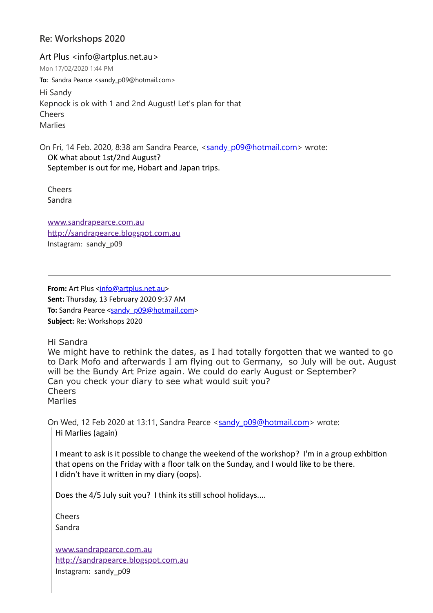### **Re: Workshops 2020**

Art Plus <info@artplus.net.au> Mon 17/02/2020 1:44 PM **To:** Sandra Pearce <sandy\_p09@hotmail.com> Hi Sandy Kepnock is ok with 1 and 2nd August! Let's plan for that Cheers Marlies

On Fri, 14 Feb. 2020, 8:38 am Sandra Pearce, <[sandy\\_p09@hotmail.com>](mailto:sandy_p09@hotmail.com) wrote: OK what about 1st/2nd August? September is out for me, Hobart and Japan trips.

Cheers Sandra

[www.sandrapearce.com.au](http://www.sandrapearce.com.au/) http://sandrapearce.blogspot.com.au Instagram: sandy\_p09

**From:** Art Plus [<info@artplus.net.au>](mailto:info@artplus.net.au) **Sent:** Thursday, 13 February 2020 9:37 AM **To:** Sandra Pearce <[sandy\\_p09@hotmail.com](mailto:sandy_p09@hotmail.com)> **Subject:** Re: Workshops 2020

Hi Sandra

We might have to rethink the dates, as I had totally forgotten that we wanted to go to Dark Mofo and afterwards I am flying out to Germany, so July will be out. August will be the Bundy Art Prize again. We could do early August or September? Can you check your diary to see what would suit you? Cheers Marlies

On Wed, 12 Feb 2020 at 13:11, Sandra Pearce <[sandy\\_p09@hotmail.com](mailto:sandy_p09@hotmail.com)> wrote: Hi Marlies (again)

I meant to ask is it possible to change the weekend of the workshop? I'm in a group exhbition that opens on the Friday with a floor talk on the Sunday, and I would like to be there. I didn't have it written in my diary (oops).

Does the 4/5 July suit you? I think its still school holidays....

**Cheers** Sandra

[www.sandrapearce.com.au](http://www.sandrapearce.com.au/) http://sandrapearce.blogspot.com.au Instagram: sandy\_p09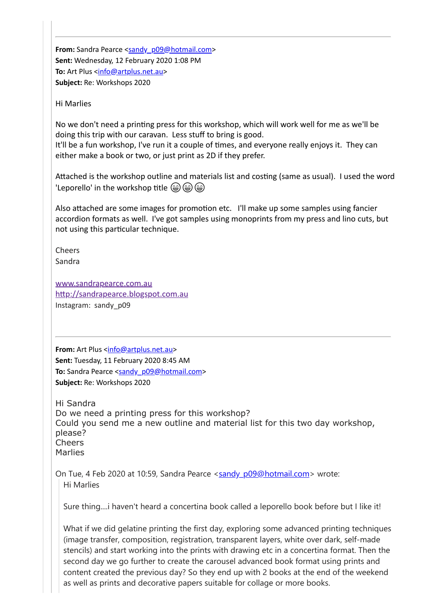**From:** Sandra Pearce <[sandy\\_p09@hotmail.com>](mailto:sandy_p09@hotmail.com) **Sent:** Wednesday, 12 February 2020 1:08 PM **To:** Art Plus <[info@artplus.net.au>](mailto:info@artplus.net.au) **Subject:** Re: Workshops 2020

Hi Marlies

No we don't need a printing press for this workshop, which will work well for me as we'll be doing this trip with our caravan. Less stuff to bring is good.

It'll be a fun workshop, I've run it a couple of times, and everyone really enjoys it. They can either make a book or two, or just print as 2D if they prefer.

Attached is the workshop outline and materials list and costing (same as usual). I used the word 'Leporello' in the workshop title  $\circledast$   $\circledast$ 

Also attached are some images for promotion etc. I'll make up some samples using fancier accordion formats as well. I've got samples using monoprints from my press and lino cuts, but not using this particular technique.

Cheers Sandra

[www.sandrapearce.com.au](http://www.sandrapearce.com.au/) http://sandrapearce.blogspot.com.au Instagram: sandy\_p09

**From:** Art Plus [<info@artplus.net.au>](mailto:info@artplus.net.au) **Sent:** Tuesday, 11 February 2020 8:45 AM **To:** Sandra Pearce [<sandy\\_p09@hotmail.com](mailto:sandy_p09@hotmail.com)> **Subject:** Re: Workshops 2020

Hi Sandra Do we need a printing press for this workshop? Could you send me a new outline and material list for this two day workshop, please? Cheers Marlies

On Tue, 4 Feb 2020 at 10:59, Sandra Pearce <[sandy\\_p09@hotmail.com>](mailto:sandy_p09@hotmail.com) wrote: Hi Marlies

Sure thing....i haven't heard a concertina book called a leporello book before but I like it!

What if we did gelatine printing the first day, exploring some advanced printing techniques (image transfer, composition, registration, transparent layers, white over dark, self-made stencils) and start working into the prints with drawing etc in a concertina format. Then the second day we go further to create the carousel advanced book format using prints and content created the previous day? So they end up with 2 books at the end of the weekend as well as prints and decorative papers suitable for collage or more books.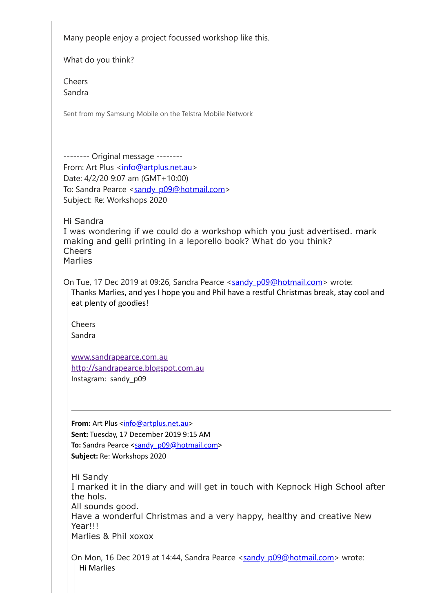Many people enjoy a project focussed workshop like this.

What do you think?

Cheers Sandra

Sent from my Samsung Mobile on the Telstra Mobile Network

-------- Original message -------- From: Art Plus [<info@artplus.net.au>](mailto:info@artplus.net.au) Date: 4/2/20 9:07 am (GMT+10:00) To: Sandra Pearce <[sandy\\_p09@hotmail.com>](mailto:sandy_p09@hotmail.com) Subject: Re: Workshops 2020

Hi Sandra I was wondering if we could do a workshop which you just advertised. mark making and gelli printing in a leporello book? What do you think? Cheers Marlies

On Tue, 17 Dec 2019 at 09:26, Sandra Pearce <[sandy\\_p09@hotmail.com>](mailto:sandy_p09@hotmail.com) wrote: Thanks Marlies, and yes I hope you and Phil have a restful Christmas break, stay cool and eat plenty of goodies!

Cheers Sandra

[www.sandrapearce.com.au](http://www.sandrapearce.com.au/) http://sandrapearce.blogspot.com.au Instagram: sandy\_p09

**From:** Art Plus <[info@artplus.net.au](mailto:info@artplus.net.au)> **Sent:** Tuesday, 17 December 2019 9:15 AM **To:** Sandra Pearce [<sandy\\_p09@hotmail.com>](mailto:sandy_p09@hotmail.com) **Subject:** Re: Workshops 2020

Hi Sandy I marked it in the diary and will get in touch with Kepnock High School after the hols. All sounds good. Have a wonderful Christmas and a very happy, healthy and creative New Year!!! Marlies & Phil xoxox

On Mon, 16 Dec 2019 at 14:44, Sandra Pearce [<sandy\\_p09@hotmail.com>](mailto:sandy_p09@hotmail.com) wrote: Hi Marlies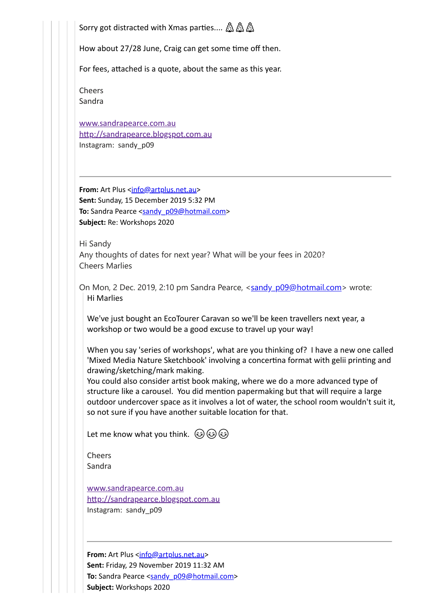Sorry got distracted with Xmas parties....  $\mathbb{A} \mathbb{A}$ 

How about 27/28 June, Craig can get some time off then.

For fees, attached is a quote, about the same as this year.

Cheers Sandra

[www.sandrapearce.com.au](http://www.sandrapearce.com.au/) http://sandrapearce.blogspot.com.au Instagram: sandy\_p09

**From:** Art Plus <[info@artplus.net.au>](mailto:info@artplus.net.au) **Sent:** Sunday, 15 December 2019 5:32 PM To: Sandra Pearce [<sandy\\_p09@hotmail.com](mailto:sandy_p09@hotmail.com)> **Subject:** Re: Workshops 2020

Hi Sandy Any thoughts of dates for next year? What will be your fees in 2020? Cheers Marlies

On Mon, 2 Dec. 2019, 2:10 pm Sandra Pearce, [<sandy\\_p09@hotmail.com>](mailto:sandy_p09@hotmail.com) wrote: Hi Marlies

We've just bought an EcoTourer Caravan so we'll be keen travellers next year, a workshop or two would be a good excuse to travel up your way!

When you say 'series of workshops', what are you thinking of? I have a new one called 'Mixed Media Nature Sketchbook' involving a concertina format with gelii printing and drawing/sketching/mark making.

You could also consider artist book making, where we do a more advanced type of structure like a carousel. You did mention papermaking but that will require a large outdoor undercover space as it involves a lot of water, the school room wouldn't suit it, so not sure if you have another suitable location for that.

Let me know what you think.  $\circled{c}$   $\circled{c}$   $\circled{c}$ 

Cheers Sandra

[www.sandrapearce.com.au](http://www.sandrapearce.com.au/) http://sandrapearce.blogspot.com.au Instagram: sandy\_p09

**From:** Art Plus <[info@artplus.net.au](mailto:info@artplus.net.au)> **Sent:** Friday, 29 November 2019 11:32 AM To: Sandra Pearce <[sandy\\_p09@hotmail.com>](mailto:sandy_p09@hotmail.com) **Subject:** Workshops 2020